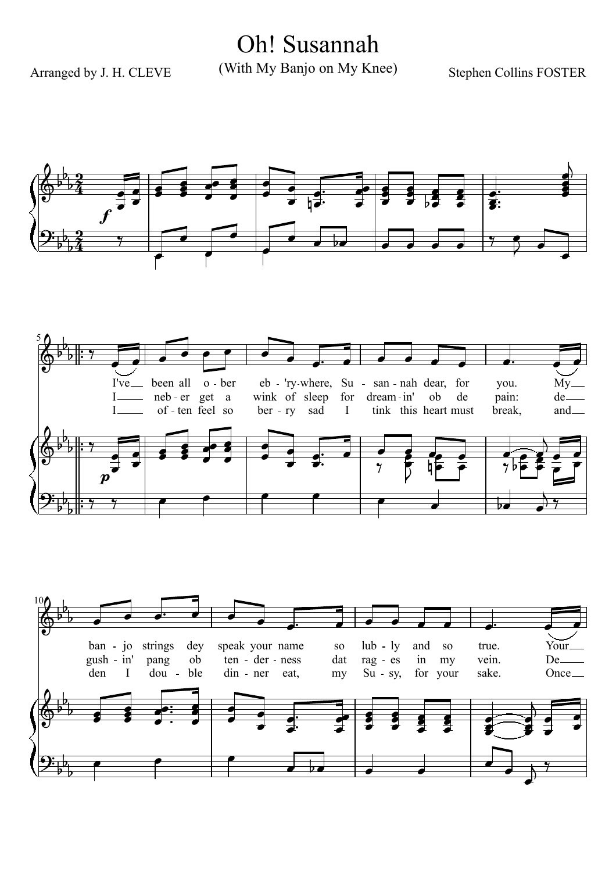Oh! Susannah

Arranged by J. H. CLEVE

(With My Banjo on My Knee)

**Stephen Collins FOSTER** 





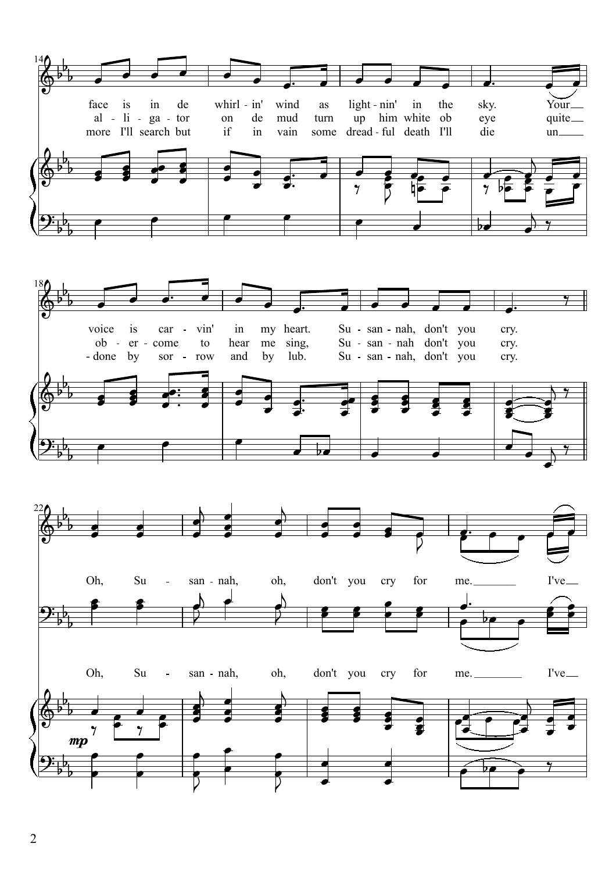